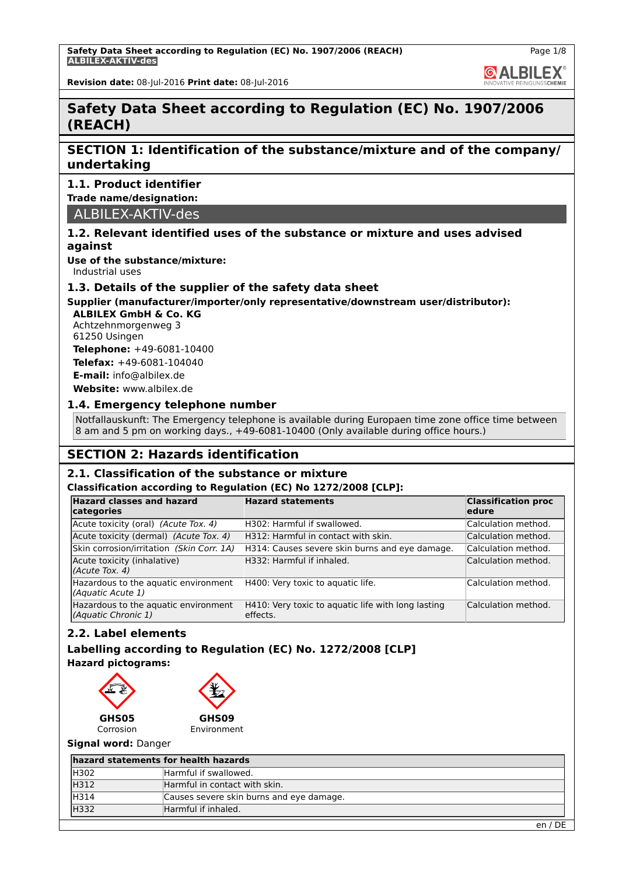**GALBILEX** 

**Revision date:** 08-Jul-2016 **Print date:** 08-Jul-2016

# **Safety Data Sheet according to Regulation (EC) No. 1907/2006 (REACH)**

## **SECTION 1: Identification of the substance/mixture and of the company/ undertaking**

### **1.1. Product identifier**

**Trade name/designation:**

### ALBILEX-AKTIV-des

### **1.2. Relevant identified uses of the substance or mixture and uses advised against**

**Use of the substance/mixture:**

Industrial uses

### **1.3. Details of the supplier of the safety data sheet**

# **Supplier (manufacturer/importer/only representative/downstream user/distributor):**

**ALBILEX GmbH & Co. KG** Achtzehnmorgenweg 3 61250 Usingen

**Telephone:** +49-6081-10400 **Telefax:** +49-6081-104040

**E-mail:** info@albilex.de

**Website:** www.albilex.de

### **1.4. Emergency telephone number**

Notfallauskunft: The Emergency telephone is available during Europaen time zone office time between 8 am and 5 pm on working days., +49-6081-10400 (Only available during office hours.)

# **SECTION 2: Hazards identification**

### **2.1. Classification of the substance or mixture**

### **Classification according to Regulation (EC) No 1272/2008 [CLP]:**

| <b>Hazard classes and hazard</b><br>categories              | <b>Hazard statements</b>                                        | <b>Classification proc</b><br>ledure |
|-------------------------------------------------------------|-----------------------------------------------------------------|--------------------------------------|
| Acute toxicity (oral) (Acute Tox. 4)                        | H302: Harmful if swallowed.                                     | Calculation method.                  |
| Acute toxicity (dermal) (Acute Tox. 4)                      | H312: Harmful in contact with skin.                             | Calculation method.                  |
| Skin corrosion/irritation (Skin Corr. 1A)                   | H314: Causes severe skin burns and eye damage.                  | Calculation method.                  |
| Acute toxicity (inhalative)<br>(Acute Tox. 4)               | H332: Harmful if inhaled.                                       | Calculation method.                  |
| Hazardous to the aquatic environment<br>(Aquatic Acute 1)   | H400: Very toxic to aquatic life.                               | Calculation method.                  |
| Hazardous to the aquatic environment<br>(Aquatic Chronic 1) | H410: Very toxic to aquatic life with long lasting<br>leffects. | Calculation method.                  |

### **2.2. Label elements**

### **Labelling according to Regulation (EC) No. 1272/2008 [CLP] Hazard pictograms:**



**GHS09** Environment

### **Signal word:** Danger

| hazard statements for health hazards     |  |  |  |
|------------------------------------------|--|--|--|
| Harmful if swallowed.                    |  |  |  |
| Harmful in contact with skin.            |  |  |  |
| Causes severe skin burns and eye damage. |  |  |  |
| Harmful if inhaled.                      |  |  |  |
|                                          |  |  |  |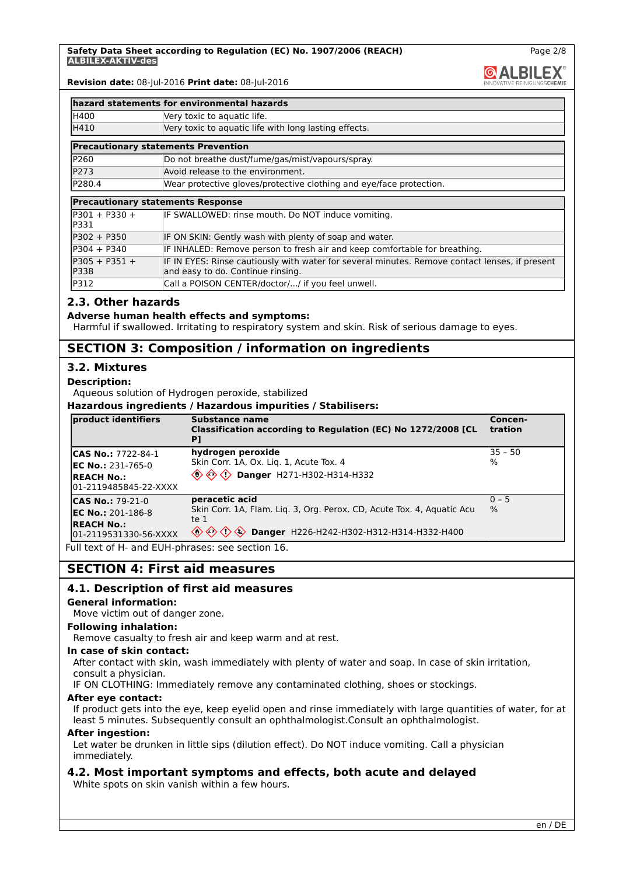Page 2/8

**@ALBILEX** 

**Revision date:** 08-Jul-2016 **Print date:** 08-Jul-2016

|                          | hazard statements for environmental hazards                                                                                         |
|--------------------------|-------------------------------------------------------------------------------------------------------------------------------------|
| H400                     | Very toxic to aquatic life.                                                                                                         |
| H410                     | Very toxic to aquatic life with long lasting effects.                                                                               |
|                          | <b>Precautionary statements Prevention</b>                                                                                          |
| P260                     | Do not breathe dust/fume/gas/mist/vapours/spray.                                                                                    |
| P273                     | Avoid release to the environment.                                                                                                   |
| P280.4                   | Wear protective gloves/protective clothing and eye/face protection.                                                                 |
|                          | <b>Precautionary statements Response</b>                                                                                            |
| $P301 + P330 +$<br>IP331 | IF SWALLOWED: rinse mouth. Do NOT induce vomiting.                                                                                  |
| P302 + P350              | IF ON SKIN: Gently wash with plenty of soap and water.                                                                              |
| $P304 + P340$            | IF INHALED: Remove person to fresh air and keep comfortable for breathing.                                                          |
| $P305 + P351 +$<br>P338  | IF IN EYES: Rinse cautiously with water for several minutes. Remove contact lenses, if present<br>and easy to do. Continue rinsing. |
| P312                     | Call a POISON CENTER/doctor// if you feel unwell.                                                                                   |

### **2.3. Other hazards**

#### **Adverse human health effects and symptoms:**

Harmful if swallowed. Irritating to respiratory system and skin. Risk of serious damage to eyes.

### **SECTION 3: Composition / information on ingredients**

### **3.2. Mixtures**

### **Description:**

Aqueous solution of Hydrogen peroxide, stabilized

**Hazardous ingredients / Hazardous impurities / Stabilisers:**

| product identifiers                         | Substance name<br>Classification according to Regulation (EC) No 1272/2008 [CL<br>P]             | Concen-<br>tration |
|---------------------------------------------|--------------------------------------------------------------------------------------------------|--------------------|
| <b>CAS No.: 7722-84-1</b>                   | hydrogen peroxide                                                                                | 35 - 50            |
| <b>IEC No.:</b> 231-765-0                   | Skin Corr. 1A, Ox. Liq. 1, Acute Tox. 4                                                          | l%                 |
| <b>REACH No.:</b><br>l01-2119485845-22-XXXX |                                                                                                  |                    |
| <b>CAS No.: 79-21-0</b>                     | peracetic acid                                                                                   | $ 0 - 5 $          |
| <b>EC No.: 201-186-8</b>                    | Skin Corr. 1A, Flam. Lig. 3, Org. Perox. CD, Acute Tox. 4, Aguatic Acu                           | $\frac{9}{6}$      |
| <b>REACH No.:</b><br>01-2119531330-56-XXXX  | Ite $1$<br>$\Diamond$ $\Diamond$ $\Diamond$ $\Diamond$ Danger H226-H242-H302-H312-H314-H332-H400 |                    |

Full text of H- and EUH-phrases: see section 16.

### **SECTION 4: First aid measures**

### **4.1. Description of first aid measures**

#### **General information:**

Move victim out of danger zone.

#### **Following inhalation:**

Remove casualty to fresh air and keep warm and at rest.

#### **In case of skin contact:**

After contact with skin, wash immediately with plenty of water and soap. In case of skin irritation, consult a physician.

IF ON CLOTHING: Immediately remove any contaminated clothing, shoes or stockings.

### **After eye contact:**

If product gets into the eye, keep eyelid open and rinse immediately with large quantities of water, for at least 5 minutes. Subsequently consult an ophthalmologist.Consult an ophthalmologist.

#### **After ingestion:**

Let water be drunken in little sips (dilution effect). Do NOT induce vomiting. Call a physician immediately.

### **4.2. Most important symptoms and effects, both acute and delayed**

White spots on skin vanish within a few hours.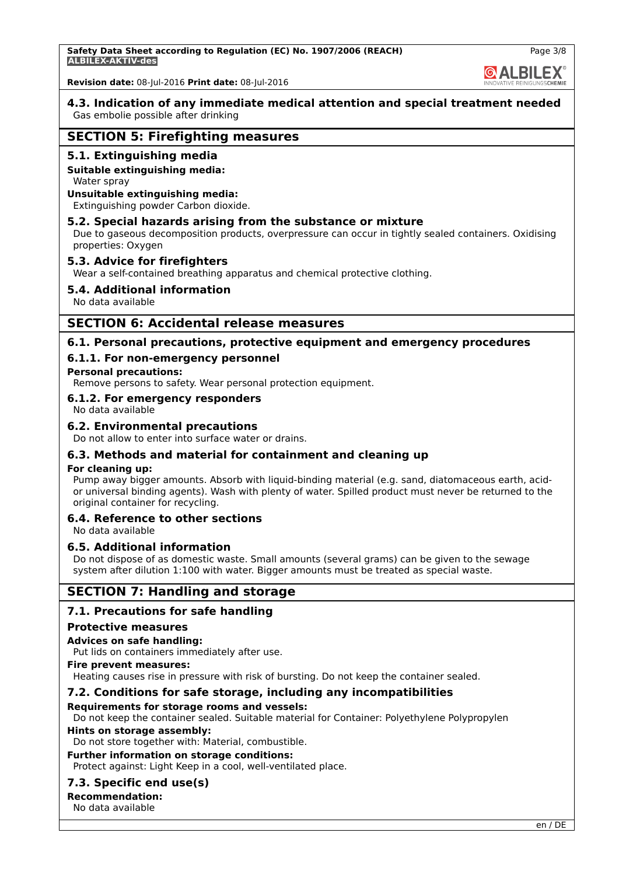# **& ALBILEX®**

**4.3. Indication of any immediate medical attention and special treatment needed** Gas embolie possible after drinking

### **SECTION 5: Firefighting measures**

### **5.1. Extinguishing media**

### **Suitable extinguishing media:**

Water spray

#### **Unsuitable extinguishing media:**

Extinguishing powder Carbon dioxide.

### **5.2. Special hazards arising from the substance or mixture**

Due to gaseous decomposition products, overpressure can occur in tightly sealed containers. Oxidising properties: Oxygen

### **5.3. Advice for firefighters**

Wear a self-contained breathing apparatus and chemical protective clothing.

### **5.4. Additional information**

No data available

### **SECTION 6: Accidental release measures**

### **6.1. Personal precautions, protective equipment and emergency procedures**

### **6.1.1. For non-emergency personnel**

### **Personal precautions:**

Remove persons to safety. Wear personal protection equipment.

### **6.1.2. For emergency responders**

No data available

### **6.2. Environmental precautions**

Do not allow to enter into surface water or drains.

### **6.3. Methods and material for containment and cleaning up**

### **For cleaning up:**

Pump away bigger amounts. Absorb with liquid-binding material (e.g. sand, diatomaceous earth, acidor universal binding agents). Wash with plenty of water. Spilled product must never be returned to the original container for recycling.

### **6.4. Reference to other sections**

No data available

### **6.5. Additional information**

Do not dispose of as domestic waste. Small amounts (several grams) can be given to the sewage system after dilution 1:100 with water. Bigger amounts must be treated as special waste.

### **SECTION 7: Handling and storage**

### **7.1. Precautions for safe handling**

### **Protective measures**

### **Advices on safe handling:**

Put lids on containers immediately after use.

#### **Fire prevent measures:**

Heating causes rise in pressure with risk of bursting. Do not keep the container sealed.

### **7.2. Conditions for safe storage, including any incompatibilities**

### **Requirements for storage rooms and vessels:**

Do not keep the container sealed. Suitable material for Container: Polyethylene Polypropylen

### **Hints on storage assembly:**

Do not store together with: Material, combustible.

### **Further information on storage conditions:**

Protect against: Light Keep in a cool, well-ventilated place.

### **7.3. Specific end use(s)**

**Recommendation:** No data available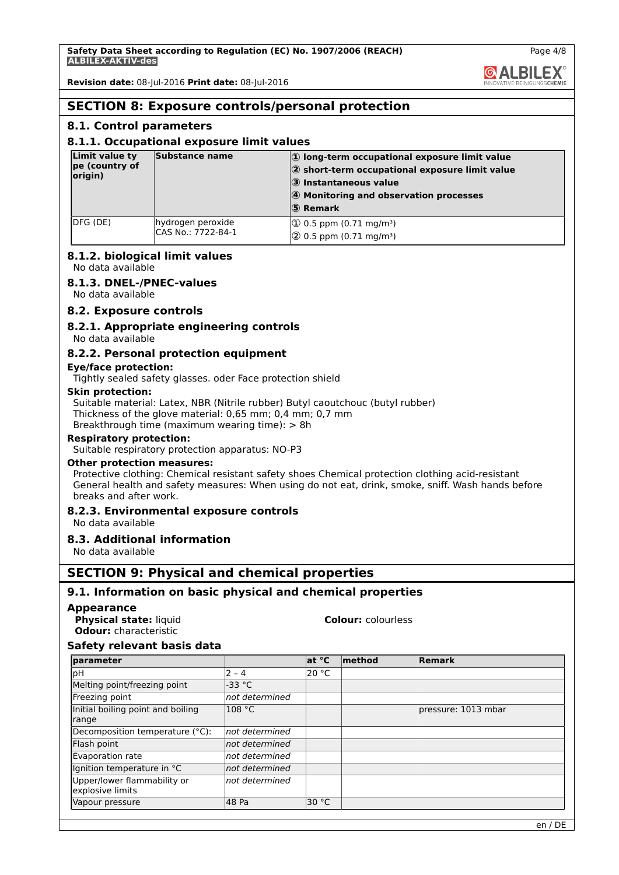**@ALBILEX** 

Page 4/8

**Revision date:** 08-Jul-2016 **Print date:** 08-Jul-2016

# **SECTION 8: Exposure controls/personal protection**

### **8.1. Control parameters**

### **8.1.1. Occupational exposure limit values**

| Limit value ty<br>pe (country of<br>origin) | Substance name                          | $ 0\rangle$ long-term occupational exposure limit value<br>$ 2$ short-term occupational exposure limit value<br>3 Instantaneous value<br>4 Monitoring and observation processes<br>5 Remark |
|---------------------------------------------|-----------------------------------------|---------------------------------------------------------------------------------------------------------------------------------------------------------------------------------------------|
| DFG (DE)                                    | hydrogen peroxide<br>CAS No.: 7722-84-1 | $ 10 \t{.}5 \text{ ppm} (0.71 \text{ mg/m}^3) $<br>$\sqrt{2}$ 0.5 ppm (0.71 mg/m <sup>3</sup> )                                                                                             |

### **8.1.2. biological limit values**

No data available

### **8.1.3. DNEL-/PNEC-values**

No data available

### **8.2. Exposure controls**

**8.2.1. Appropriate engineering controls**

No data available

### **8.2.2. Personal protection equipment**

### **Eye/face protection:**

Tightly sealed safety glasses. oder Face protection shield

### **Skin protection:**

Suitable material: Latex, NBR (Nitrile rubber) Butyl caoutchouc (butyl rubber) Thickness of the glove material: 0,65 mm; 0,4 mm; 0,7 mm Breakthrough time (maximum wearing time): > 8h

### **Respiratory protection:**

Suitable respiratory protection apparatus: NO-P3

### **Other protection measures:**

Protective clothing: Chemical resistant safety shoes Chemical protection clothing acid-resistant General health and safety measures: When using do not eat, drink, smoke, sniff. Wash hands before breaks and after work.

### **8.2.3. Environmental exposure controls**

### No data available

### **8.3. Additional information**

No data available

### **SECTION 9: Physical and chemical properties**

### **9.1. Information on basic physical and chemical properties**

### **Appearance**

**Physical state:** liquid **Colour:** colourless **Odour:** characteristic

### **Safety relevant basis data**

| parameter                         |                | at °C | method | Remark              |
|-----------------------------------|----------------|-------|--------|---------------------|
| pH                                | $2 - 4$        | 20 °C |        |                     |
| Melting point/freezing point      | $-33 °C$       |       |        |                     |
| Freezing point                    | not determined |       |        |                     |
| Initial boiling point and boiling | 108 °C         |       |        | pressure: 1013 mbar |
| range                             |                |       |        |                     |
| Decomposition temperature (°C):   | not determined |       |        |                     |
| Flash point                       | not determined |       |        |                     |
| Evaporation rate                  | not determined |       |        |                     |
| Ignition temperature in °C        | not determined |       |        |                     |
| Upper/lower flammability or       | not determined |       |        |                     |
| explosive limits                  |                |       |        |                     |
| Vapour pressure                   | 48 Pa          | 30 °C |        |                     |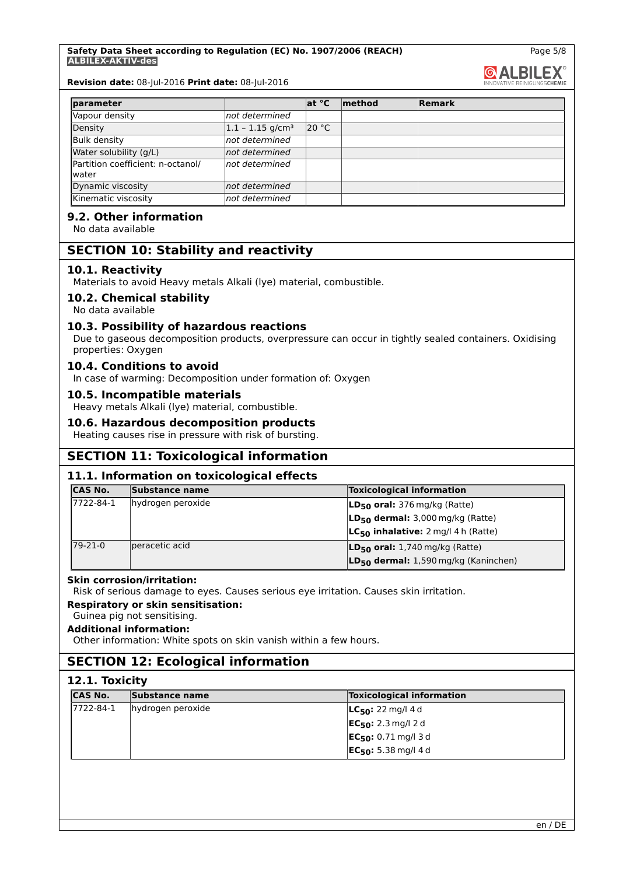#### **Safety Data Sheet according to Regulation (EC) No. 1907/2006 (REACH) ALBILEX-AKTIV-des**

**Revision date:** 08-Jul-2016 **Print date:** 08-Jul-2016

| parameter                                  |                                 | at °C | method | Remark |
|--------------------------------------------|---------------------------------|-------|--------|--------|
| Vapour density                             | not determined                  |       |        |        |
| Density                                    | $ 1.1 - 1.15$ g/cm <sup>3</sup> | 20 °C |        |        |
| <b>Bulk density</b>                        | not determined                  |       |        |        |
| Water solubility (g/L)                     | not determined                  |       |        |        |
| Partition coefficient: n-octanol/<br>water | not determined                  |       |        |        |
| Dynamic viscosity                          | not determined                  |       |        |        |
| Kinematic viscosity                        | not determined                  |       |        |        |

### **9.2. Other information**

No data available

### **SECTION 10: Stability and reactivity**

### **10.1. Reactivity**

Materials to avoid Heavy metals Alkali (lye) material, combustible.

### **10.2. Chemical stability**

No data available

### **10.3. Possibility of hazardous reactions**

Due to gaseous decomposition products, overpressure can occur in tightly sealed containers. Oxidising properties: Oxygen

### **10.4. Conditions to avoid**

In case of warming: Decomposition under formation of: Oxygen

### **10.5. Incompatible materials**

Heavy metals Alkali (lye) material, combustible.

#### **10.6. Hazardous decomposition products**

Heating causes rise in pressure with risk of bursting.

### **SECTION 11: Toxicological information**

### **11.1. Information on toxicological effects**

| <b>CAS No.</b> | Substance name    | <b>Toxicological information</b>          |
|----------------|-------------------|-------------------------------------------|
| 17722-84-1     | hydrogen peroxide | $ LD_{50}$ oral: 376 mg/kg (Ratte)        |
|                |                   | $LD_{50}$ dermal: 3,000 mg/kg (Ratte)     |
|                |                   | $LC_{50}$ inhalative: 2 mg/l 4 h (Ratte)  |
| 79-21-0        | peracetic acid    | $ LD_{50}$ oral: 1,740 mg/kg (Ratte)      |
|                |                   | $LD_{50}$ dermal: 1,590 mg/kg (Kaninchen) |

### **Skin corrosion/irritation:**

Risk of serious damage to eyes. Causes serious eye irritation. Causes skin irritation.

### **Respiratory or skin sensitisation:**

# Guinea pig not sensitising.

**Additional information:**

Other information: White spots on skin vanish within a few hours.

# **SECTION 12: Ecological information**

| <b>CAS No.</b> | Substance name    | <b>Toxicological information</b>      |  |
|----------------|-------------------|---------------------------------------|--|
| 7722-84-1      | hydrogen peroxide | <b>LC<sub>50</sub>:</b> 22 mg/l 4 d   |  |
|                |                   | <b>EC<sub>50</sub>:</b> 2.3 mg/l 2 d  |  |
|                |                   | <b>EC<sub>50</sub>:</b> 0.71 mg/l 3 d |  |
|                |                   | $EC_{50}$ : 5.38 mg/l 4 d             |  |

Page 5/8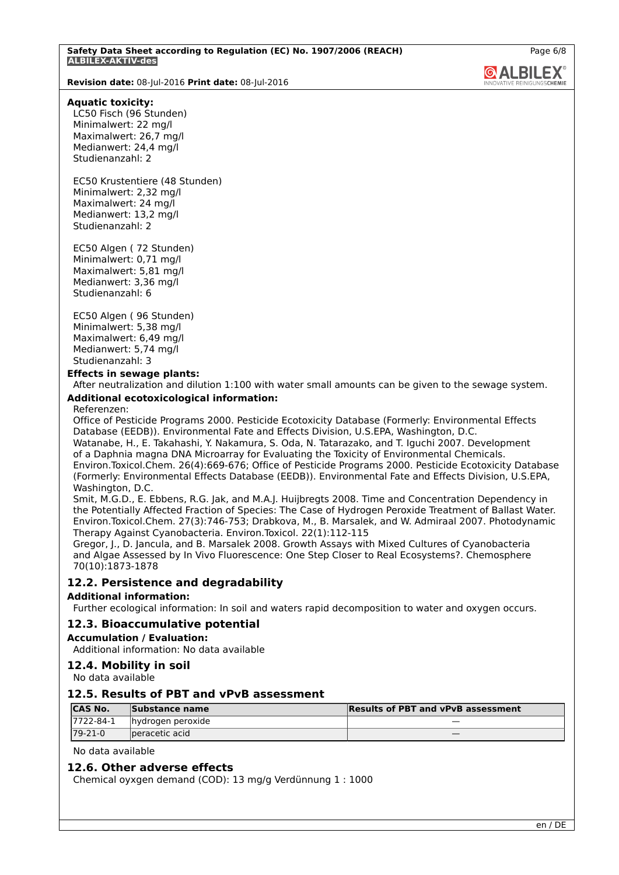**Revision date:** 08-Jul-2016 **Print date:** 08-Jul-2016

#### **Aquatic toxicity:**

LC50 Fisch (96 Stunden) Minimalwert: 22 mg/l Maximalwert: 26,7 mg/l Medianwert: 24,4 mg/l Studienanzahl: 2

EC50 Krustentiere (48 Stunden) Minimalwert: 2,32 mg/l Maximalwert: 24 mg/l Medianwert: 13,2 mg/l Studienanzahl: 2

EC50 Algen ( 72 Stunden) Minimalwert: 0,71 mg/l Maximalwert: 5,81 mg/l Medianwert: 3,36 mg/l Studienanzahl: 6

EC50 Algen ( 96 Stunden) Minimalwert: 5,38 mg/l Maximalwert: 6,49 mg/l Medianwert: 5,74 mg/l Studienanzahl: 3

#### **Effects in sewage plants:**

After neutralization and dilution 1:100 with water small amounts can be given to the sewage system.

### **Additional ecotoxicological information:**

#### Referenzen:

Office of Pesticide Programs 2000. Pesticide Ecotoxicity Database (Formerly: Environmental Effects Database (EEDB)). Environmental Fate and Effects Division, U.S.EPA, Washington, D.C. Watanabe, H., E. Takahashi, Y. Nakamura, S. Oda, N. Tatarazako, and T. Iguchi 2007. Development of a Daphnia magna DNA Microarray for Evaluating the Toxicity of Environmental Chemicals. Environ.Toxicol.Chem. 26(4):669-676; Office of Pesticide Programs 2000. Pesticide Ecotoxicity Database (Formerly: Environmental Effects Database (EEDB)). Environmental Fate and Effects Division, U.S.EPA, Washington, D.C.

Smit, M.G.D., E. Ebbens, R.G. Jak, and M.A.J. Huijbregts 2008. Time and Concentration Dependency in the Potentially Affected Fraction of Species: The Case of Hydrogen Peroxide Treatment of Ballast Water. Environ.Toxicol.Chem. 27(3):746-753; Drabkova, M., B. Marsalek, and W. Admiraal 2007. Photodynamic Therapy Against Cyanobacteria. Environ.Toxicol. 22(1):112-115

Gregor, J., D. Jancula, and B. Marsalek 2008. Growth Assays with Mixed Cultures of Cyanobacteria and Algae Assessed by In Vivo Fluorescence: One Step Closer to Real Ecosystems?. Chemosphere 70(10):1873-1878

### **12.2. Persistence and degradability**

### **Additional information:**

Further ecological information: In soil and waters rapid decomposition to water and oxygen occurs.

### **12.3. Bioaccumulative potential**

#### **Accumulation / Evaluation:**

Additional information: No data available

### **12.4. Mobility in soil**

No data available

### **12.5. Results of PBT and vPvB assessment**

| <b>CAS No.</b> | Substance name     | <b>Results of PBT and vPvB assessment</b> |
|----------------|--------------------|-------------------------------------------|
| 7722-84-1      | Ihvdrogen peroxide |                                           |
| $179 - 21 - 0$ | peracetic acid     |                                           |

### No data available

### **12.6. Other adverse effects**

Chemical oyxgen demand (COD): 13 mg/g Verdünnung 1 : 1000

**GALBILEX**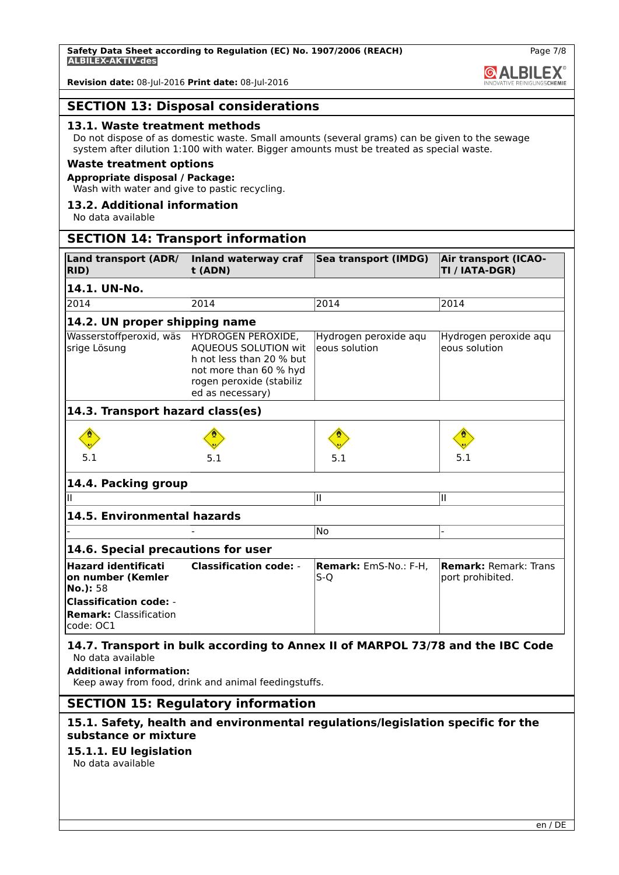**Revision date:** 08-Jul-2016 **Print date:** 08-Jul-2016

### **SECTION 13: Disposal considerations**

### **13.1. Waste treatment methods**

Do not dispose of as domestic waste. Small amounts (several grams) can be given to the sewage system after dilution 1:100 with water. Bigger amounts must be treated as special waste.

### **Waste treatment options**

### **Appropriate disposal / Package:**

Wash with water and give to pastic recycling.

#### **13.2. Additional information**

No data available

### **SECTION 14: Transport information**

| <b>Land transport (ADR/</b><br>RID)                                         | Inland waterway craf<br>t (ADN)                                                                                                                         | Sea transport (IMDG)                   | <b>Air transport (ICAO-</b><br>TI / IATA-DGR)    |  |  |  |
|-----------------------------------------------------------------------------|---------------------------------------------------------------------------------------------------------------------------------------------------------|----------------------------------------|--------------------------------------------------|--|--|--|
| 14.1. UN-No.                                                                |                                                                                                                                                         |                                        |                                                  |  |  |  |
| 2014                                                                        | 2014                                                                                                                                                    | 2014                                   | 2014                                             |  |  |  |
| 14.2. UN proper shipping name                                               |                                                                                                                                                         |                                        |                                                  |  |  |  |
| Wasserstoffperoxid, wäs<br>srige Lösung                                     | HYDROGEN PEROXIDE,<br><b>AOUEOUS SOLUTION wit</b><br>h not less than 20 % but<br>not more than 60 % hyd<br>rogen peroxide (stabiliz<br>ed as necessary) | Hydrogen peroxide aqu<br>eous solution | Hydrogen peroxide aqu<br>eous solution           |  |  |  |
| 14.3. Transport hazard class(es)                                            |                                                                                                                                                         |                                        |                                                  |  |  |  |
| 5.1                                                                         | 5.1                                                                                                                                                     | 5.1                                    | 5.1                                              |  |  |  |
| 14.4. Packing group                                                         |                                                                                                                                                         |                                        |                                                  |  |  |  |
| Ш                                                                           |                                                                                                                                                         | II                                     | Ш                                                |  |  |  |
| 14.5. Environmental hazards                                                 |                                                                                                                                                         |                                        |                                                  |  |  |  |
|                                                                             |                                                                                                                                                         | No                                     |                                                  |  |  |  |
|                                                                             | 14.6. Special precautions for user                                                                                                                      |                                        |                                                  |  |  |  |
| <b>Hazard identificati</b><br>on number (Kemler<br>No.): 58                 | <b>Classification code: -</b>                                                                                                                           | Remark: EmS-No.: F-H,<br>$S-Q$         | <b>Remark: Remark: Trans</b><br>port prohibited. |  |  |  |
| <b>Classification code: -</b><br><b>Remark:</b> Classification<br>code: OC1 |                                                                                                                                                         |                                        |                                                  |  |  |  |

### **14.7. Transport in bulk according to Annex II of MARPOL 73/78 and the IBC Code** No data available

**Additional information:**

Keep away from food, drink and animal feedingstuffs.

### **SECTION 15: Regulatory information**

### **15.1. Safety, health and environmental regulations/legislation specific for the substance or mixture**

# **15.1.1. EU legislation**

No data available

Page 7/8

**& ALBILEX**